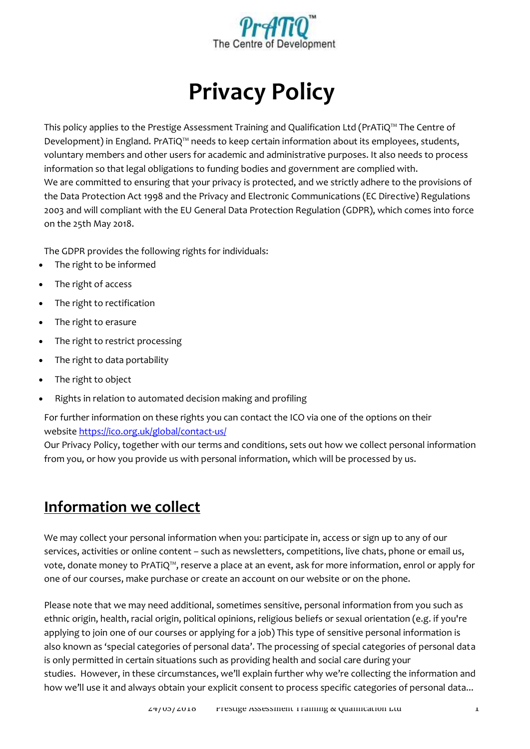

# **Privacy Policy**

This policy applies to the Prestige Assessment Training and Qualification Ltd (PrATiQ™ The Centre of Development) in England. PrATiQ™ needs to keep certain information about its employees, students, voluntary members and other users for academic and administrative purposes. It also needs to process information so that legal obligations to funding bodies and government are complied with. We are committed to ensuring that your privacy is protected, and we strictly adhere to the provisions of the Data Protection Act 1998 and the Privacy and Electronic Communications (EC Directive) Regulations 2003 and will compliant with the EU General Data Protection Regulation (GDPR), which comes into force on the 25th May 2018.

The GDPR provides the following rights for individuals:

- The right to be informed
- The right of access
- The right to rectification
- The right to erasure
- The right to restrict processing
- The right to data portability
- The right to object
- Rights in relation to automated decision making and profiling

For further information on these rights you can contact the ICO via one of the options on their website <https://ico.org.uk/global/contact-us/>

Our Privacy Policy, together with our terms and conditions, sets out how we collect personal information from you, or how you provide us with personal information, which will be processed by us.

### **Information we collect**

We may collect your personal information when you: participate in, access or sign up to any of our services, activities or online content – such as newsletters, competitions, live chats, phone or email us, vote, donate money to PrATiQ™, reserve a place at an event, ask for more information, enrol or apply for one of our courses, make purchase or create an account on our website or on the phone.

Please note that we may need additional, sometimes sensitive, personal information from you such as ethnic origin, health, racial origin, political opinions, religious beliefs or sexual orientation (e.g. if you're applying to join one of our courses or applying for a job) This type of sensitive personal information is also known as 'special categories of personal data'. The processing of special categories of personal data is only permitted in certain situations such as providing health and social care during your studies. However, in these circumstances, we'll explain further why we're collecting the information and how we'll use it and always obtain your explicit consent to process specific categories of personal data...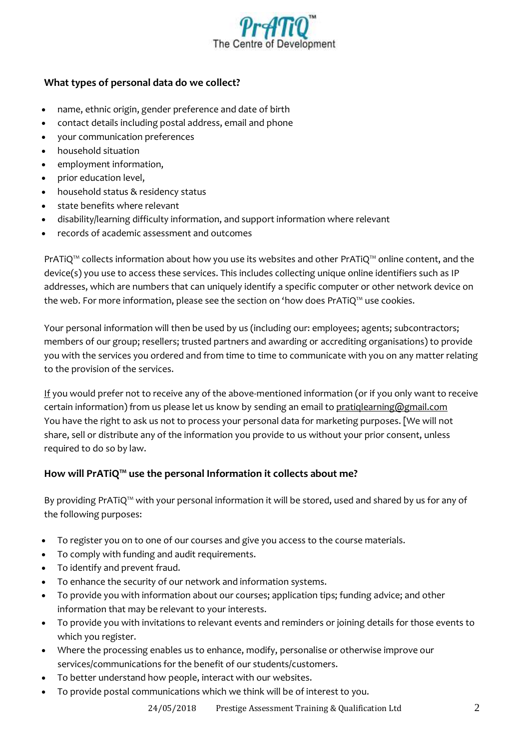

#### **What types of personal data do we collect?**

- name, ethnic origin, gender preference and date of birth
- contact details including postal address, email and phone
- your communication preferences
- household situation
- employment information,
- prior education level,
- household status & residency status
- state benefits where relevant
- disability/learning difficulty information, and support information where relevant
- records of academic assessment and outcomes

PrATiQ™ collects information about how you use its websites and other PrATiQ™ online content, and the device(s) you use to access these services. This includes collecting unique online identifiers such as IP addresses, which are numbers that can uniquely identify a specific computer or other network device on the web. For more information, please see the section on 'how does PrATiQ™ use cookies.

Your personal information will then be used by us (including our: employees; agents; subcontractors; members of our group; resellers; trusted partners and awarding or accrediting organisations) to provide you with the services you ordered and from time to time to communicate with you on any matter relating to the provision of the services.

If you would prefer not to receive any of the above-mentioned information (or if you only want to receive certain information) from us please let us know by sending an email to [pratiqlearning@gmail.com](mailto:pratiqlearning@gmail.com) You have the right to ask us not to process your personal data for marketing purposes. [We will not share, sell or distribute any of the information you provide to us without your prior consent, unless required to do so by law.

#### **How will PrATiQ™ use the personal Information it collects about me?**

By providing PrATiQ™ with your personal information it will be stored, used and shared by us for any of the following purposes:

- To register you on to one of our courses and give you access to the course materials.
- To comply with funding and audit requirements.
- To identify and prevent fraud.
- To enhance the security of our network and information systems.
- To provide you with information about our courses; application tips; funding advice; and other information that may be relevant to your interests.
- To provide you with invitations to relevant events and reminders or joining details for those events to which you register.
- Where the processing enables us to enhance, modify, personalise or otherwise improve our services/communications for the benefit of our students/customers.
- To better understand how people, interact with our websites.
- To provide postal communications which we think will be of interest to you.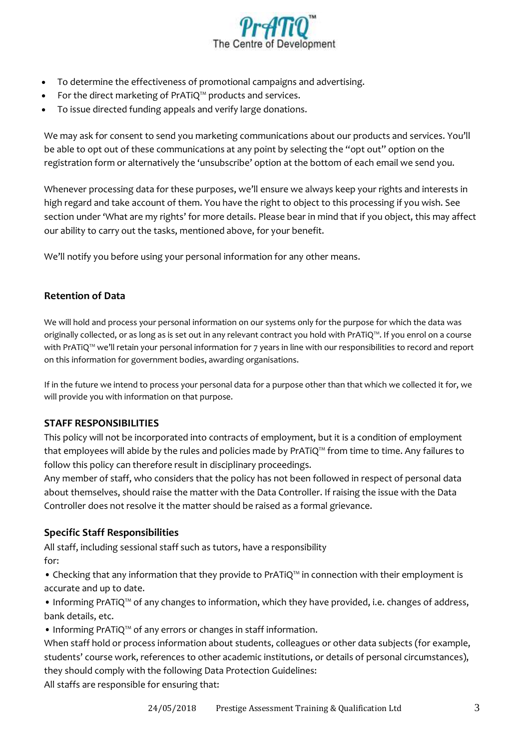

- To determine the effectiveness of promotional campaigns and advertising.
- For the direct marketing of PrATiQ™ products and services.
- To issue directed funding appeals and verify large donations.

We may ask for consent to send you marketing communications about our products and services. You'll be able to opt out of these communications at any point by selecting the "opt out" option on the registration form or alternatively the 'unsubscribe' option at the bottom of each email we send you.

Whenever processing data for these purposes, we'll ensure we always keep your rights and interests in high regard and take account of them. You have the right to object to this processing if you wish. See section under 'What are my rights' for more details. Please bear in mind that if you object, this may affect our ability to carry out the tasks, mentioned above, for your benefit.

We'll notify you before using your personal information for any other means.

#### **Retention of Data**

We will hold and process your personal information on our systems only for the purpose for which the data was originally collected, or as long as is set out in any relevant contract you hold with PrATiQ™. If you enrol on a course with PrATiQ™ we'll retain your personal information for 7 years in line with our responsibilities to record and report on this information for government bodies, awarding organisations.

If in the future we intend to process your personal data for a purpose other than that which we collected it for, we will provide you with information on that purpose.

#### **STAFF RESPONSIBILITIES**

This policy will not be incorporated into contracts of employment, but it is a condition of employment that employees will abide by the rules and policies made by PrATiQ™ from time to time. Any failures to follow this policy can therefore result in disciplinary proceedings.

Any member of staff, who considers that the policy has not been followed in respect of personal data about themselves, should raise the matter with the Data Controller. If raising the issue with the Data Controller does not resolve it the matter should be raised as a formal grievance.

#### **Specific Staff Responsibilities**

All staff, including sessional staff such as tutors, have a responsibility for:

• Checking that any information that they provide to PrATiQ™ in connection with their employment is accurate and up to date.

• Informing PrATiQ™ of any changes to information, which they have provided, i.e. changes of address, bank details, etc.

• Informing PrATiQ™ of any errors or changes in staff information.

When staff hold or process information about students, colleagues or other data subjects (for example, students' course work, references to other academic institutions, or details of personal circumstances), they should comply with the following Data Protection Guidelines:

All staffs are responsible for ensuring that: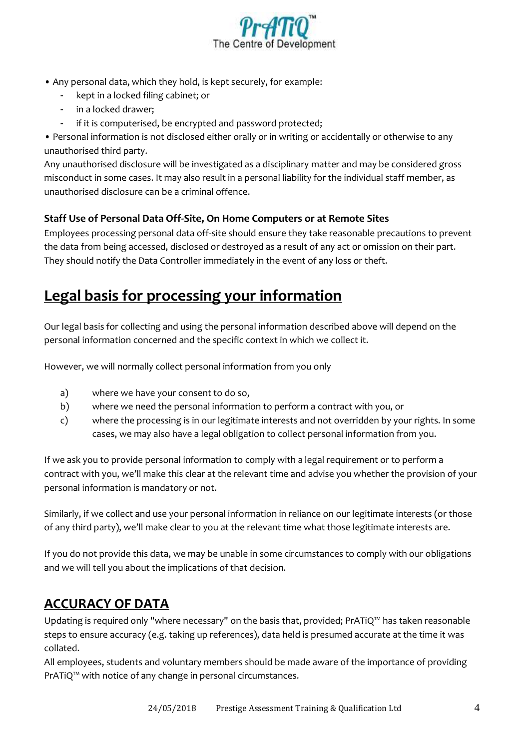

- Any personal data, which they hold, is kept securely, for example:
	- kept in a locked filing cabinet; or
	- in a locked drawer;
		- if it is computerised, be encrypted and password protected;

• Personal information is not disclosed either orally or in writing or accidentally or otherwise to any unauthorised third party.

Any unauthorised disclosure will be investigated as a disciplinary matter and may be considered gross misconduct in some cases. It may also result in a personal liability for the individual staff member, as unauthorised disclosure can be a criminal offence.

#### **Staff Use of Personal Data Off-Site, On Home Computers or at Remote Sites**

Employees processing personal data off-site should ensure they take reasonable precautions to prevent the data from being accessed, disclosed or destroyed as a result of any act or omission on their part. They should notify the Data Controller immediately in the event of any loss or theft.

# **Legal basis for processing your information**

Our legal basis for collecting and using the personal information described above will depend on the personal information concerned and the specific context in which we collect it.

However, we will normally collect personal information from you only

- a) where we have your consent to do so,
- b) where we need the personal information to perform a contract with you, or
- c) where the processing is in our legitimate interests and not overridden by your rights. In some cases, we may also have a legal obligation to collect personal information from you.

If we ask you to provide personal information to comply with a legal requirement or to perform a contract with you, we'll make this clear at the relevant time and advise you whether the provision of your personal information is mandatory or not.

Similarly, if we collect and use your personal information in reliance on our legitimate interests (or those of any third party), we'll make clear to you at the relevant time what those legitimate interests are.

If you do not provide this data, we may be unable in some circumstances to comply with our obligations and we will tell you about the implications of that decision.

### **ACCURACY OF DATA**

Updating is required only "where necessary" on the basis that, provided; PrATiQ™ has taken reasonable steps to ensure accuracy (e.g. taking up references), data held is presumed accurate at the time it was collated.

All employees, students and voluntary members should be made aware of the importance of providing PrATiQ™ with notice of any change in personal circumstances.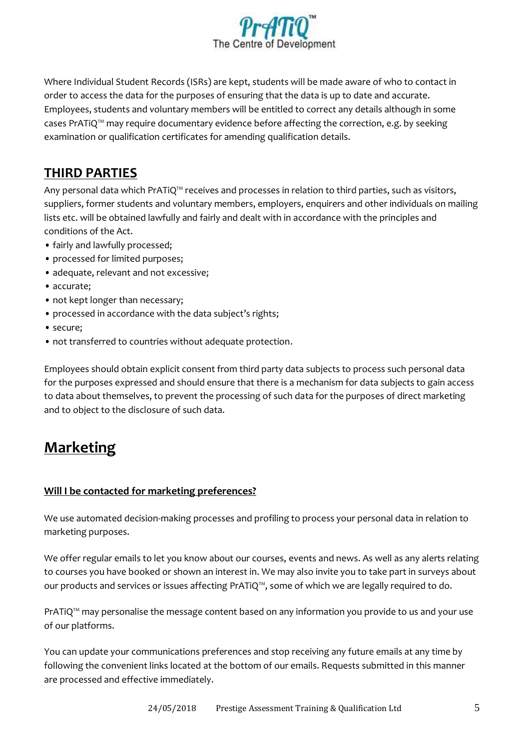

Where Individual Student Records (ISRs) are kept, students will be made aware of who to contact in order to access the data for the purposes of ensuring that the data is up to date and accurate. Employees, students and voluntary members will be entitled to correct any details although in some cases PrATiQ™ may require documentary evidence before affecting the correction, e.g. by seeking examination or qualification certificates for amending qualification details.

### **THIRD PARTIES**

Any personal data which PrATiQ™ receives and processes in relation to third parties, such as visitors, suppliers, former students and voluntary members, employers, enquirers and other individuals on mailing lists etc. will be obtained lawfully and fairly and dealt with in accordance with the principles and conditions of the Act.

- fairly and lawfully processed;
- processed for limited purposes;
- adequate, relevant and not excessive;
- accurate;
- not kept longer than necessary;
- processed in accordance with the data subject's rights;
- secure;
- not transferred to countries without adequate protection.

Employees should obtain explicit consent from third party data subjects to process such personal data for the purposes expressed and should ensure that there is a mechanism for data subjects to gain access to data about themselves, to prevent the processing of such data for the purposes of direct marketing and to object to the disclosure of such data.

## **Marketing**

#### **Will I be contacted for marketing preferences?**

We use automated decision-making processes and profiling to process your personal data in relation to marketing purposes.

We offer regular emails to let you know about our courses, events and news. As well as any alerts relating to courses you have booked or shown an interest in. We may also invite you to take part in surveys about our products and services or issues affecting PrATiQ™, some of which we are legally required to do.

PrATiQ™ may personalise the message content based on any information you provide to us and your use of our platforms.

You can update your communications preferences and stop receiving any future emails at any time by following the convenient links located at the bottom of our emails. Requests submitted in this manner are processed and effective immediately.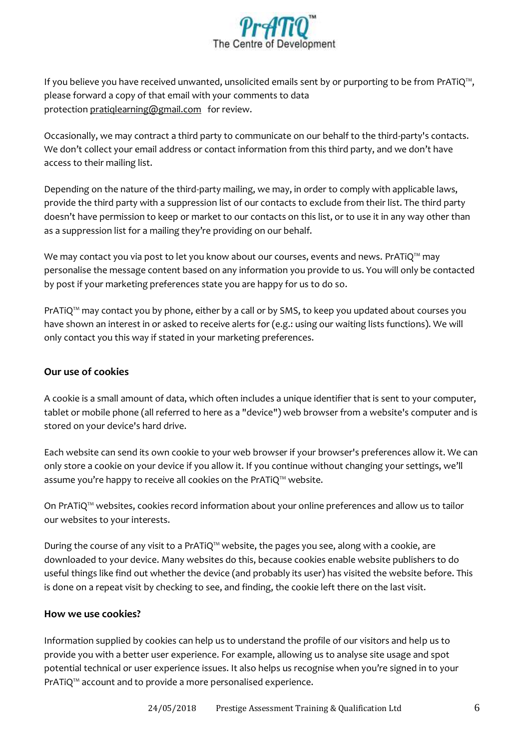

If you believe you have received unwanted, unsolicited emails sent by or purporting to be from PrATiQ™, please forward a copy of that email with your comments to data protection [pratiqlearning@gmail.com](mailto:pratiqlearning@gmail.com) for review.

Occasionally, we may contract a third party to communicate on our behalf to the third-party's contacts. We don't collect your email address or contact information from this third party, and we don't have access to their mailing list.

Depending on the nature of the third-party mailing, we may, in order to comply with applicable laws, provide the third party with a suppression list of our contacts to exclude from their list. The third party doesn't have permission to keep or market to our contacts on this list, or to use it in any way other than as a suppression list for a mailing they're providing on our behalf.

We may contact you via post to let you know about our courses, events and news. PrATiQ™ may personalise the message content based on any information you provide to us. You will only be contacted by post if your marketing preferences state you are happy for us to do so.

PrATiQ™ may contact you by phone, either by a call or by SMS, to keep you updated about courses you have shown an interest in or asked to receive alerts for (e.g.: using our waiting lists functions). We will only contact you this way if stated in your marketing preferences.

#### **Our use of cookies**

A cookie is a small amount of data, which often includes a unique identifier that is sent to your computer, tablet or mobile phone (all referred to here as a "device") web browser from a website's computer and is stored on your device's hard drive.

Each website can send its own cookie to your web browser if your browser's preferences allow it. We can only store a cookie on your device if you allow it. If you continue without changing your settings, we'll assume you're happy to receive all cookies on the PrATiQ™ website.

On PrATiQ™ websites, cookies record information about your online preferences and allow us to tailor our websites to your interests.

During the course of any visit to a PrATiQ™ website, the pages you see, along with a cookie, are downloaded to your device. Many websites do this, because cookies enable website publishers to do useful things like find out whether the device (and probably its user) has visited the website before. This is done on a repeat visit by checking to see, and finding, the cookie left there on the last visit.

#### **How we use cookies?**

Information supplied by cookies can help us to understand the profile of our visitors and help us to provide you with a better user experience. For example, allowing us to analyse site usage and spot potential technical or user experience issues. It also helps us recognise when you're signed in to your PrATiQ™ account and to provide a more personalised experience.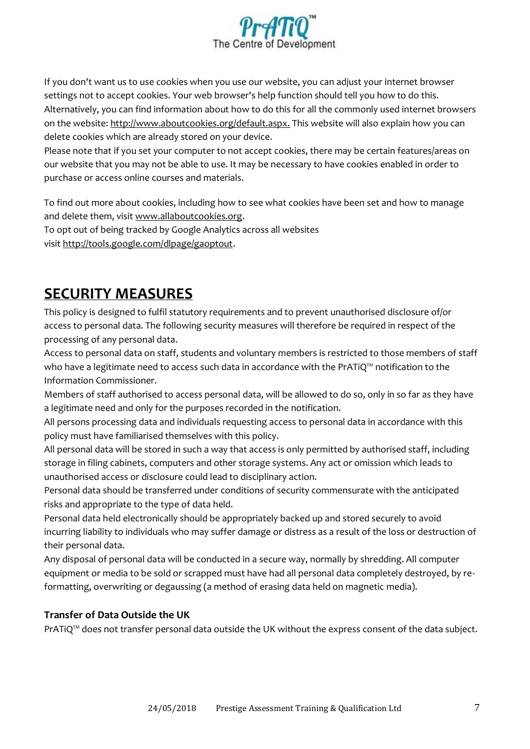

If you don't want us to use cookies when you use our website, you can adjust your internet browser settings not to accept cookies. Your web browser's help function should tell you how to do this. Alternatively, you can find information about how to do this for all the commonly used internet browsers on the website: [http://www.aboutcookies.org/default.aspx.](http://www.aboutcookies.org/default.aspx) This website will also explain how you can delete cookies which are already stored on your device.

Please note that if you set your computer to not accept cookies, there may be certain features/areas on our website that you may not be able to use. It may be necessary to have cookies enabled in order to purchase or access online courses and materials.

To find out more about cookies, including how to see what cookies have been set and how to manage and delete them, visit [www.allaboutcookies.org.](http://www.allaboutcookies.org/)

To opt out of being tracked by Google Analytics across all websites visit [http://tools.google.com/dlpage/gaoptout.](http://tools.google.com/dlpage/gaoptout)

# **SECURITY MEASURES**

This policy is designed to fulfil statutory requirements and to prevent unauthorised disclosure of/or access to personal data. The following security measures will therefore be required in respect of the processing of any personal data.

Access to personal data on staff, students and voluntary members is restricted to those members of staff who have a legitimate need to access such data in accordance with the PrATiQ™ notification to the Information Commissioner.

Members of staff authorised to access personal data, will be allowed to do so, only in so far as they have a legitimate need and only for the purposes recorded in the notification.

All persons processing data and individuals requesting access to personal data in accordance with this policy must have familiarised themselves with this policy.

All personal data will be stored in such a way that access is only permitted by authorised staff, including storage in filing cabinets, computers and other storage systems. Any act or omission which leads to unauthorised access or disclosure could lead to disciplinary action.

Personal data should be transferred under conditions of security commensurate with the anticipated risks and appropriate to the type of data held.

Personal data held electronically should be appropriately backed up and stored securely to avoid incurring liability to individuals who may suffer damage or distress as a result of the loss or destruction of their personal data.

Any disposal of personal data will be conducted in a secure way, normally by shredding. All computer equipment or media to be sold or scrapped must have had all personal data completely destroyed, by reformatting, overwriting or degaussing (a method of erasing data held on magnetic media).

#### **Transfer of Data Outside the UK**

PrATiQ™ does not transfer personal data outside the UK without the express consent of the data subject.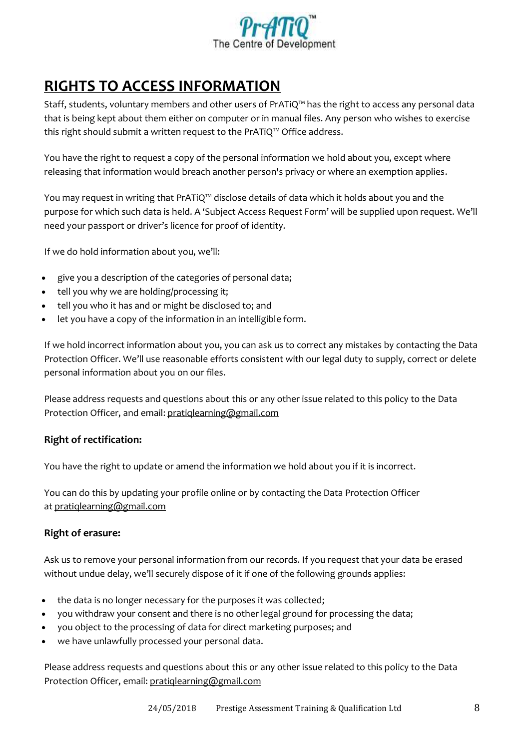

# **RIGHTS TO ACCESS INFORMATION**

Staff, students, voluntary members and other users of PrATiQ™ has the right to access any personal data that is being kept about them either on computer or in manual files. Any person who wishes to exercise this right should submit a written request to the PrATiQ™ Office address.

You have the right to request a copy of the personal information we hold about you, except where releasing that information would breach another person's privacy or where an exemption applies.

You may request in writing that PrATiQ™ disclose details of data which it holds about you and the purpose for which such data is held. A 'Subject Access Request Form' will be supplied upon request. We'll need your passport or driver's licence for proof of identity.

If we do hold information about you, we'll:

- give you a description of the categories of personal data;
- tell you why we are holding/processing it;
- tell you who it has and or might be disclosed to; and
- let you have a copy of the information in an intelligible form.

If we hold incorrect information about you, you can ask us to correct any mistakes by contacting the Data Protection Officer. We'll use reasonable efforts consistent with our legal duty to supply, correct or delete personal information about you on our files.

Please address requests and questions about this or any other issue related to this policy to the Data Protection Officer, and email: [pratiqlearning@gmail.com](mailto:pratiqlearning@gmail.com)

#### **Right of rectification:**

You have the right to update or amend the information we hold about you if it is incorrect.

You can do this by updating your profile online or by contacting the Data Protection Officer at [pratiqlearning@gmail.com](mailto:pratiqlearning@gmail.com)

#### **Right of erasure:**

Ask us to remove your personal information from our records. If you request that your data be erased without undue delay, we'll securely dispose of it if one of the following grounds applies:

- the data is no longer necessary for the purposes it was collected;
- you withdraw your consent and there is no other legal ground for processing the data;
- you object to the processing of data for direct marketing purposes; and
- we have unlawfully processed your personal data.

Please address requests and questions about this or any other issue related to this policy to the Data Protection Officer, email: [pratiqlearning@gmail.com](mailto:pratiqlearning@gmail.com)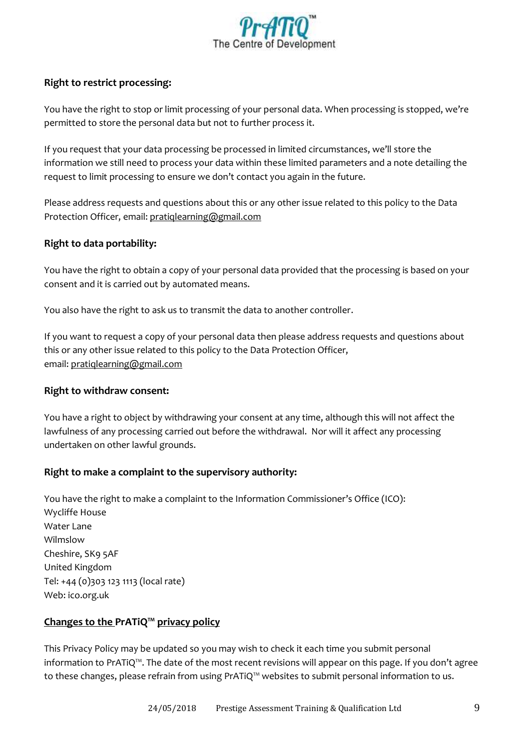

#### **Right to restrict processing:**

You have the right to stop or limit processing of your personal data. When processing is stopped, we're permitted to store the personal data but not to further process it.

If you request that your data processing be processed in limited circumstances, we'll store the information we still need to process your data within these limited parameters and a note detailing the request to limit processing to ensure we don't contact you again in the future.

Please address requests and questions about this or any other issue related to this policy to the Data Protection Officer, email: [pratiqlearning@gmail.com](mailto:pratiqlearning@gmail.com)

#### **Right to data portability:**

You have the right to obtain a copy of your personal data provided that the processing is based on your consent and it is carried out by automated means.

You also have the right to ask us to transmit the data to another controller.

If you want to request a copy of your personal data then please address requests and questions about this or any other issue related to this policy to the Data Protection Officer, email: [pratiqlearning@gmail.com](mailto:pratiqlearning@gmail.com)

#### **Right to withdraw consent:**

You have a right to object by withdrawing your consent at any time, although this will not affect the lawfulness of any processing carried out before the withdrawal. Nor will it affect any processing undertaken on other lawful grounds.

#### **Right to make a complaint to the supervisory authority:**

You have the right to make a complaint to the Information Commissioner's Office (ICO): Wycliffe House Water Lane Wilmslow Cheshire, SK9 5AF United Kingdom Tel: +44 (0)303 123 1113 (local rate) Web: ico.org.uk

#### **Changes to the PrATiQ™ privacy policy**

This Privacy Policy may be updated so you may wish to check it each time you submit personal information to PrATiQ™. The date of the most recent revisions will appear on this page. If you don't agree to these changes, please refrain from using PrATiQ™ websites to submit personal information to us.